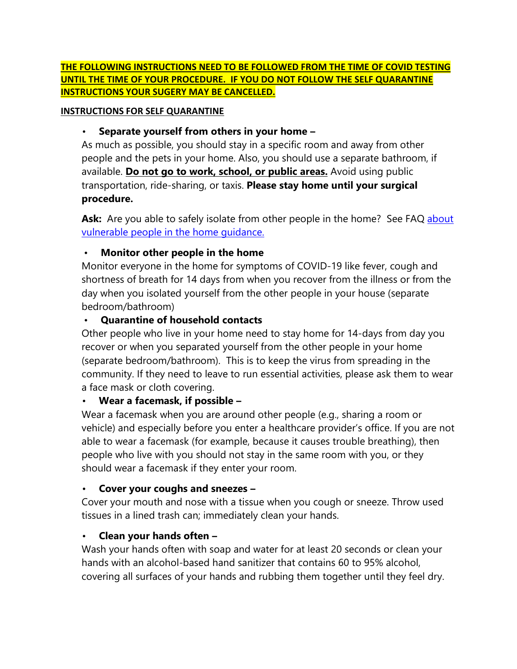#### **THE FOLLOWING INSTRUCTIONS NEED TO BE FOLLOWED FROM THE TIME OF COVID TESTING UNTIL THE TIME OF YOUR PROCEDURE. IF YOU DO NOT FOLLOW THE SELF QUARANTINE INSTRUCTIONS YOUR SUGERY MAY BE CANCELLED.**

#### **INSTRUCTIONS FOR SELF QUARANTINE**

### • **Separate yourself from others in your home –**

As much as possible, you should stay in a specific room and away from other people and the pets in your home. Also, you should use a separate bathroom, if available. **Do not go to work, school, or public areas.** Avoid using public transportation, ride-sharing, or taxis. **Please stay home until your surgical procedure.**

Ask: Are you able to safely isolate from other people in the home? See FAQ about vulnerable people in the home guidance.

#### • **Monitor other people in the home**

Monitor everyone in the home for symptoms of COVID-19 like fever, cough and shortness of breath for 14 days from when you recover from the illness or from the day when you isolated yourself from the other people in your house (separate bedroom/bathroom)

### • **Quarantine of household contacts**

Other people who live in your home need to stay home for 14-days from day you recover or when you separated yourself from the other people in your home (separate bedroom/bathroom). This is to keep the virus from spreading in the community. If they need to leave to run essential activities, please ask them to wear a face mask or cloth covering.

## • **Wear a facemask, if possible –**

Wear a facemask when you are around other people (e.g., sharing a room or vehicle) and especially before you enter a healthcare provider's office. If you are not able to wear a facemask (for example, because it causes trouble breathing), then people who live with you should not stay in the same room with you, or they should wear a facemask if they enter your room.

#### • **Cover your coughs and sneezes –**

Cover your mouth and nose with a tissue when you cough or sneeze. Throw used tissues in a lined trash can; immediately clean your hands.

## • **Clean your hands often –**

Wash your hands often with soap and water for at least 20 seconds or clean your hands with an alcohol-based hand sanitizer that contains 60 to 95% alcohol, covering all surfaces of your hands and rubbing them together until they feel dry.